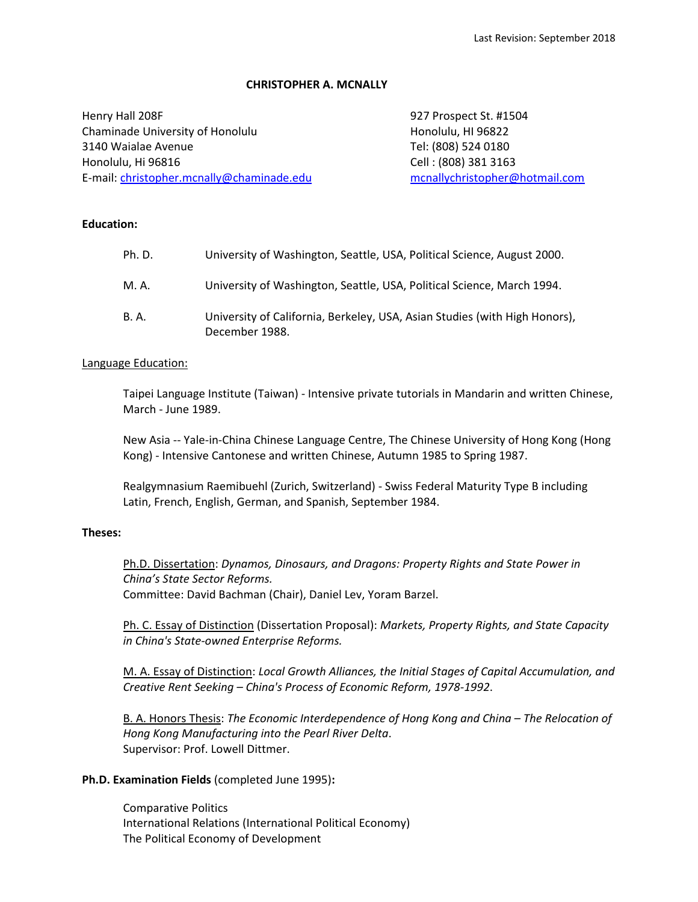## **CHRISTOPHER A. MCNALLY**

Henry Hall 208F 927 Prospect St. #1504 Chaminade University of Honolulu **Honolulu** Honolulu, HI 96822 3140 Waialae Avenue Tel: (808) 524 0180 Honolulu, Hi 96816 Cell : (808) 381 3163 E-mail: [christopher.mcnally@chaminade.edu](mailto:christopher.mcnally@chaminade.edu) [mcnallychristopher@hotmail.com](mailto:mcnallychristopher@hotmail.com)

# **Education:**

| Ph.D. | University of Washington, Seattle, USA, Political Science, August 2000.                      |
|-------|----------------------------------------------------------------------------------------------|
| M. A. | University of Washington, Seattle, USA, Political Science, March 1994.                       |
| B. A. | University of California, Berkeley, USA, Asian Studies (with High Honors),<br>December 1988. |

# Language Education:

Taipei Language Institute (Taiwan) - Intensive private tutorials in Mandarin and written Chinese, March - June 1989.

New Asia -- Yale-in-China Chinese Language Centre, The Chinese University of Hong Kong (Hong Kong) - Intensive Cantonese and written Chinese, Autumn 1985 to Spring 1987.

Realgymnasium Raemibuehl (Zurich, Switzerland) - Swiss Federal Maturity Type B including Latin, French, English, German, and Spanish, September 1984.

## **Theses:**

Ph.D. Dissertation: *Dynamos, Dinosaurs, and Dragons: Property Rights and State Power in China's State Sector Reforms.*  Committee: David Bachman (Chair), Daniel Lev, Yoram Barzel.

Ph. C. Essay of Distinction (Dissertation Proposal): *Markets, Property Rights, and State Capacity in China's State-owned Enterprise Reforms.*

M. A. Essay of Distinction: *Local Growth Alliances, the Initial Stages of Capital Accumulation, and Creative Rent Seeking – China's Process of Economic Reform, 1978-1992*.

B. A. Honors Thesis: *The Economic Interdependence of Hong Kong and China – The Relocation of Hong Kong Manufacturing into the Pearl River Delta*. Supervisor: Prof. Lowell Dittmer.

### **Ph.D. Examination Fields** (completed June 1995)**:**

Comparative Politics International Relations (International Political Economy) The Political Economy of Development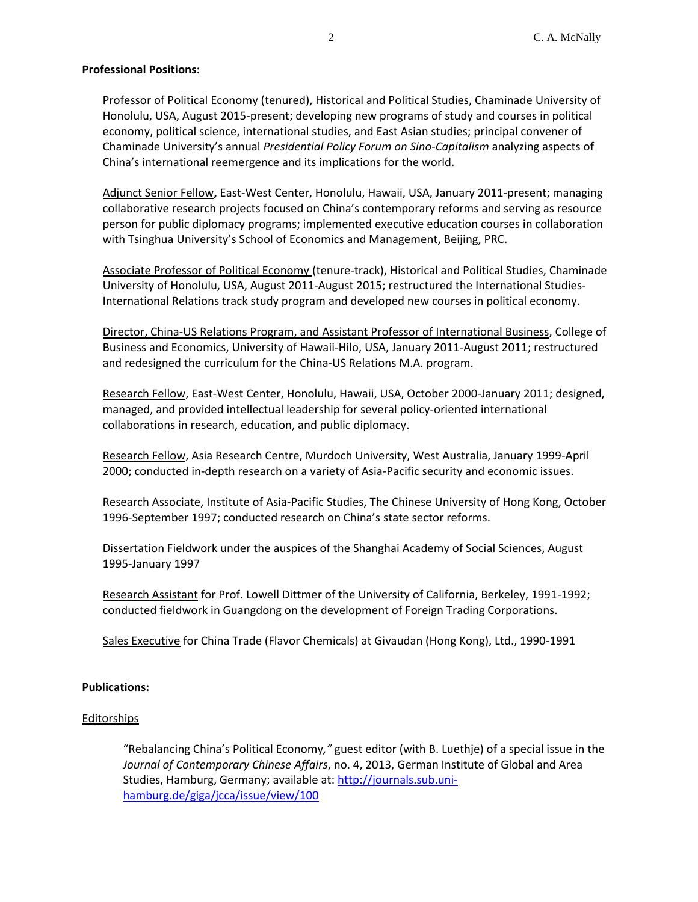# **Professional Positions:**

Professor of Political Economy (tenured), Historical and Political Studies, Chaminade University of Honolulu, USA, August 2015-present; developing new programs of study and courses in political economy, political science, international studies, and East Asian studies; principal convener of Chaminade University's annual *Presidential Policy Forum on Sino-Capitalism* analyzing aspects of China's international reemergence and its implications for the world.

Adjunct Senior Fellow**,** East-West Center, Honolulu, Hawaii, USA, January 2011-present; managing collaborative research projects focused on China's contemporary reforms and serving as resource person for public diplomacy programs; implemented executive education courses in collaboration with Tsinghua University's School of Economics and Management, Beijing, PRC.

Associate Professor of Political Economy (tenure-track), Historical and Political Studies, Chaminade University of Honolulu, USA, August 2011-August 2015; restructured the International Studies-International Relations track study program and developed new courses in political economy.

Director, China-US Relations Program, and Assistant Professor of International Business, College of Business and Economics, University of Hawaii-Hilo, USA, January 2011-August 2011; restructured and redesigned the curriculum for the China-US Relations M.A. program.

Research Fellow, East-West Center, Honolulu, Hawaii, USA, October 2000-January 2011; designed, managed, and provided intellectual leadership for several policy-oriented international collaborations in research, education, and public diplomacy.

Research Fellow, Asia Research Centre, Murdoch University, West Australia, January 1999-April 2000; conducted in-depth research on a variety of Asia-Pacific security and economic issues.

Research Associate, Institute of Asia-Pacific Studies, The Chinese University of Hong Kong, October 1996-September 1997; conducted research on China's state sector reforms.

Dissertation Fieldwork under the auspices of the Shanghai Academy of Social Sciences, August 1995-January 1997

Research Assistant for Prof. Lowell Dittmer of the University of California, Berkeley, 1991-1992; conducted fieldwork in Guangdong on the development of Foreign Trading Corporations.

Sales Executive for China Trade (Flavor Chemicals) at Givaudan (Hong Kong), Ltd., 1990-1991

### **Publications:**

### Editorships

"Rebalancing China's Political Economy*,"* guest editor (with B. Luethje) of a special issue in the *Journal of Contemporary Chinese Affairs*, no. 4, 2013, German Institute of Global and Area Studies, Hamburg, Germany; available at: [http://journals.sub.uni](http://journals.sub.uni-hamburg.de/giga/jcca/issue/view/100)[hamburg.de/giga/jcca/issue/view/100](http://journals.sub.uni-hamburg.de/giga/jcca/issue/view/100)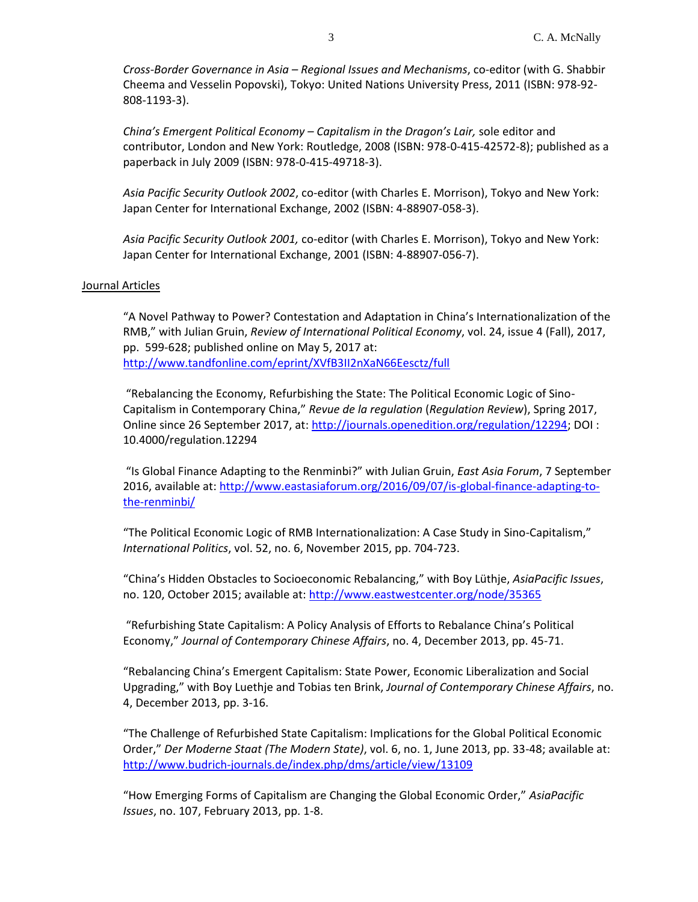*Cross-Border Governance in Asia – Regional Issues and Mechanisms*, co-editor (with G. Shabbir Cheema and Vesselin Popovski), Tokyo: United Nations University Press, 2011 (ISBN: 978-92- 808-1193-3).

*China's Emergent Political Economy – Capitalism in the Dragon's Lair,* sole editor and contributor, London and New York: Routledge, 2008 (ISBN: 978-0-415-42572-8); published as a paperback in July 2009 (ISBN: 978-0-415-49718-3).

*Asia Pacific Security Outlook 2002*, co-editor (with Charles E. Morrison), Tokyo and New York: Japan Center for International Exchange, 2002 (ISBN: 4-88907-058-3).

*Asia Pacific Security Outlook 2001,* co-editor (with Charles E. Morrison), Tokyo and New York: Japan Center for International Exchange, 2001 (ISBN: 4-88907-056-7).

#### Journal Articles

"A Novel Pathway to Power? Contestation and Adaptation in China's Internationalization of the RMB," with Julian Gruin, *Review of International Political Economy*, vol. 24, issue 4 (Fall), 2017, pp. 599-628; published online on May 5, 2017 at: <http://www.tandfonline.com/eprint/XVfB3II2nXaN66Eesctz/full>

"Rebalancing the Economy, Refurbishing the State: The Political Economic Logic of Sino-Capitalism in Contemporary China," *Revue de la regulation* (*Regulation Review*), Spring 2017, Online since 26 September 2017, at: [http://journals.openedition.org/regulation/12294;](http://journals.openedition.org/regulation/12294) DOI : 10.4000/regulation.12294

"Is Global Finance Adapting to the Renminbi?" with Julian Gruin, *East Asia Forum*, 7 September 2016, available at[: http://www.eastasiaforum.org/2016/09/07/is-global-finance-adapting-to](http://www.eastasiaforum.org/2016/09/07/is-global-finance-adapting-to-the-renminbi/)[the-renminbi/](http://www.eastasiaforum.org/2016/09/07/is-global-finance-adapting-to-the-renminbi/)

"The Political Economic Logic of RMB Internationalization: A Case Study in Sino-Capitalism," *International Politics*, vol. 52, no. 6, November 2015, pp. 704-723.

"China's Hidden Obstacles to Socioeconomic Rebalancing," with Boy Lüthje, *AsiaPacific Issues*, no. 120, October 2015; available at:<http://www.eastwestcenter.org/node/35365>

"Refurbishing State Capitalism: A Policy Analysis of Efforts to Rebalance China's Political Economy," *Journal of Contemporary Chinese Affairs*, no. 4, December 2013, pp. 45-71.

"Rebalancing China's Emergent Capitalism: State Power, Economic Liberalization and Social Upgrading," with Boy Luethje and Tobias ten Brink, *Journal of Contemporary Chinese Affairs*, no. 4, December 2013, pp. 3-16.

"The Challenge of Refurbished State Capitalism: Implications for the Global Political Economic Order," *Der Moderne Staat (The Modern State)*, vol. 6, no. 1, June 2013, pp. 33-48; available at: <http://www.budrich-journals.de/index.php/dms/article/view/13109>

"How Emerging Forms of Capitalism are Changing the Global Economic Order," *AsiaPacific Issues*, no. 107, February 2013, pp. 1-8.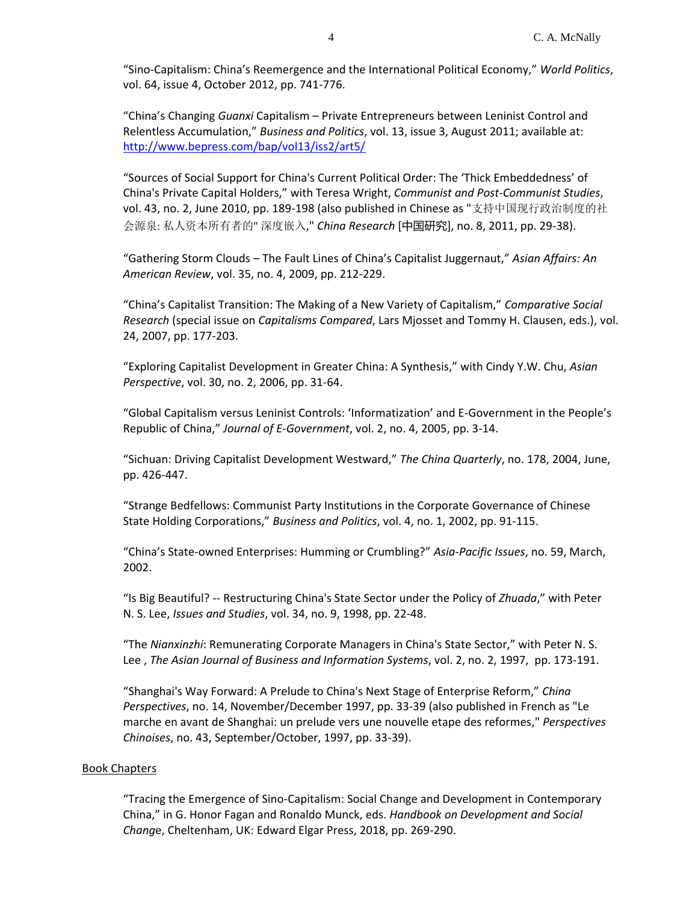"Sino-Capitalism: China's Reemergence and the International Political Economy," *World Politics*, vol. 64, issue 4, October 2012, pp. 741-776.

"China's Changing *Guanxi* Capitalism – Private Entrepreneurs between Leninist Control and Relentless Accumulation," *Business and Politics*, vol. 13, issue 3, August 2011; available at: <http://www.bepress.com/bap/vol13/iss2/art5/>

"Sources of Social Support for China's Current Political Order: The 'Thick Embeddedness' of China's Private Capital Holders," with Teresa Wright, *Communist and Post-Communist Studies*, vol. 43, no. 2, June 2010, pp. 189-198 (also published in Chinese as "支持中国现行政治制度的社 会源泉: 私人资本所有者的" 深度嵌入," *China Research* [中国研究], no. 8, 2011, pp. 29-38).

"Gathering Storm Clouds – The Fault Lines of China's Capitalist Juggernaut," *Asian Affairs: An American Review*, vol. 35, no. 4, 2009, pp. 212-229.

"China's Capitalist Transition: The Making of a New Variety of Capitalism," *Comparative Social Research* (special issue on *Capitalisms Compared*, Lars Mjosset and Tommy H. Clausen, eds.), vol. 24, 2007, pp. 177-203.

"Exploring Capitalist Development in Greater China: A Synthesis," with Cindy Y.W. Chu, *Asian Perspective*, vol. 30, no. 2, 2006, pp. 31-64.

"Global Capitalism versus Leninist Controls: 'Informatization' and E-Government in the People's Republic of China," *Journal of E-Government*, vol. 2, no. 4, 2005, pp. 3-14.

"Sichuan: Driving Capitalist Development Westward," *The China Quarterly*, no. 178, 2004, June, pp. 426-447.

"Strange Bedfellows: Communist Party Institutions in the Corporate Governance of Chinese State Holding Corporations," *Business and Politics*, vol. 4, no. 1, 2002, pp. 91-115.

"China's State-owned Enterprises: Humming or Crumbling?" *Asia-Pacific Issues*, no. 59, March, 2002.

"Is Big Beautiful? -- Restructuring China's State Sector under the Policy of *Zhuada*," with Peter N. S. Lee, *Issues and Studies*, vol. 34, no. 9, 1998, pp. 22-48.

"The *Nianxinzhi*: Remunerating Corporate Managers in China's State Sector," with Peter N. S. Lee , *The Asian Journal of Business and Information Systems*, vol. 2, no. 2, 1997, pp. 173-191.

"Shanghai's Way Forward: A Prelude to China's Next Stage of Enterprise Reform," *China Perspectives*, no. 14, November/December 1997, pp. 33-39 (also published in French as "Le marche en avant de Shanghai: un prelude vers une nouvelle etape des reformes," *Perspectives Chinoises*, no. 43, September/October, 1997, pp. 33-39).

### Book Chapters

"Tracing the Emergence of Sino-Capitalism: Social Change and Development in Contemporary China," in G. Honor Fagan and Ronaldo Munck, eds. *Handbook on Development and Social Chang*e, Cheltenham, UK: Edward Elgar Press, 2018, pp. 269-290.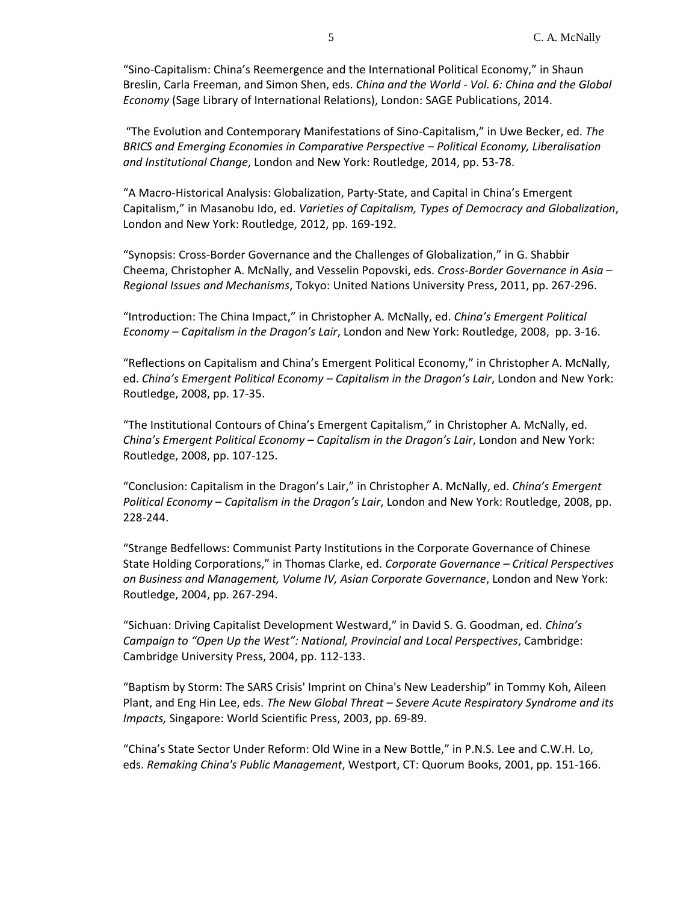"Sino-Capitalism: China's Reemergence and the International Political Economy," in Shaun Breslin, Carla Freeman, and Simon Shen, eds. *China and the World* - *Vol. 6: China and the Global Economy* (Sage Library of International Relations), London: SAGE Publications, 2014.

"The Evolution and Contemporary Manifestations of Sino-Capitalism," in Uwe Becker, ed. *The BRICS and Emerging Economies in Comparative Perspective – Political Economy, Liberalisation and Institutional Change*, London and New York: Routledge, 2014, pp. 53-78.

"A Macro-Historical Analysis: Globalization, Party-State, and Capital in China's Emergent Capitalism," in Masanobu Ido, ed. *Varieties of Capitalism, Types of Democracy and Globalization*, London and New York: Routledge, 2012, pp. 169-192.

"Synopsis: Cross-Border Governance and the Challenges of Globalization," in G. Shabbir Cheema, Christopher A. McNally, and Vesselin Popovski, eds. *Cross-Border Governance in Asia – Regional Issues and Mechanisms*, Tokyo: United Nations University Press, 2011, pp. 267-296.

"Introduction: The China Impact," in Christopher A. McNally, ed. *China's Emergent Political Economy – Capitalism in the Dragon's Lair*, London and New York: Routledge, 2008, pp. 3-16.

"Reflections on Capitalism and China's Emergent Political Economy," in Christopher A. McNally, ed. *China's Emergent Political Economy – Capitalism in the Dragon's Lair*, London and New York: Routledge, 2008, pp. 17-35.

"The Institutional Contours of China's Emergent Capitalism," in Christopher A. McNally, ed. *China's Emergent Political Economy – Capitalism in the Dragon's Lair*, London and New York: Routledge, 2008, pp. 107-125.

"Conclusion: Capitalism in the Dragon's Lair," in Christopher A. McNally, ed. *China's Emergent Political Economy – Capitalism in the Dragon's Lair*, London and New York: Routledge, 2008, pp. 228-244.

"Strange Bedfellows: Communist Party Institutions in the Corporate Governance of Chinese State Holding Corporations," in Thomas Clarke, ed. *Corporate Governance – Critical Perspectives on Business and Management, Volume IV, Asian Corporate Governance*, London and New York: Routledge, 2004, pp. 267-294.

"Sichuan: Driving Capitalist Development Westward," in David S. G. Goodman, ed*. China's Campaign to "Open Up the West": National, Provincial and Local Perspectives*, Cambridge: Cambridge University Press, 2004, pp. 112-133.

"Baptism by Storm: The SARS Crisis' Imprint on China's New Leadership" in Tommy Koh, Aileen Plant, and Eng Hin Lee, eds. *The New Global Threat – Severe Acute Respiratory Syndrome and its Impacts,* Singapore: World Scientific Press, 2003, pp. 69-89.

"China's State Sector Under Reform: Old Wine in a New Bottle," in P.N.S. Lee and C.W.H. Lo, eds. *Remaking China's Public Management*, Westport, CT: Quorum Books, 2001, pp. 151-166.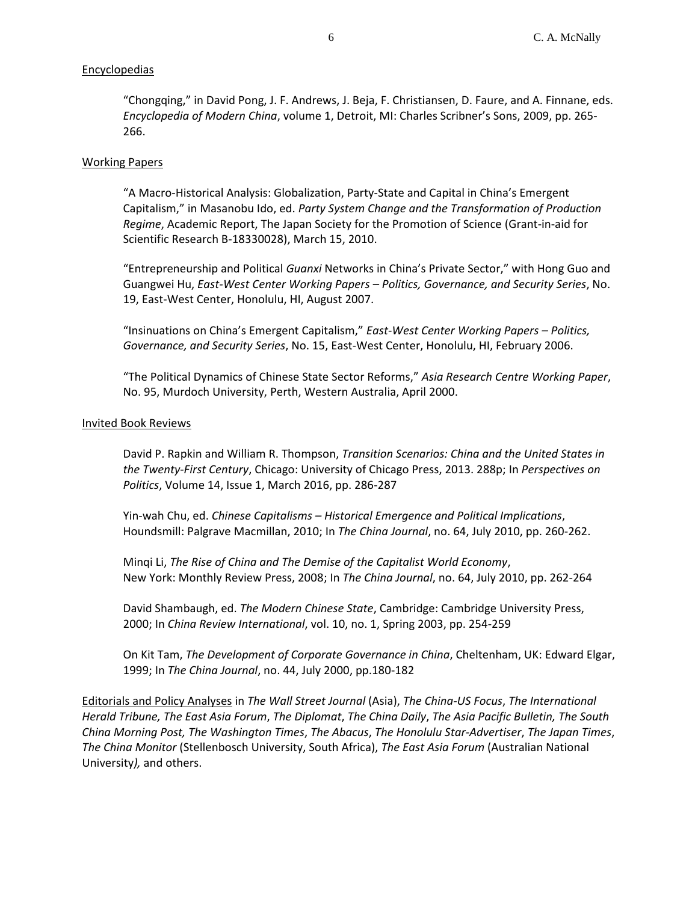# **Encyclopedias**

"Chongqing," in David Pong, J. F. Andrews, J. Beja, F. Christiansen, D. Faure, and A. Finnane, eds. *Encyclopedia of Modern China*, volume 1, Detroit, MI: Charles Scribner's Sons, 2009, pp. 265- 266.

## Working Papers

"A Macro-Historical Analysis: Globalization, Party-State and Capital in China's Emergent Capitalism," in Masanobu Ido, ed. *Party System Change and the Transformation of Production Regime*, Academic Report, The Japan Society for the Promotion of Science (Grant-in-aid for Scientific Research B-18330028), March 15, 2010.

"Entrepreneurship and Political *Guanxi* Networks in China's Private Sector," with Hong Guo and Guangwei Hu, *East-West Center Working Papers – Politics, Governance, and Security Series*, No. 19, East-West Center, Honolulu, HI, August 2007.

"Insinuations on China's Emergent Capitalism," *East-West Center Working Papers – Politics, Governance, and Security Series*, No. 15, East-West Center, Honolulu, HI, February 2006.

"The Political Dynamics of Chinese State Sector Reforms," *Asia Research Centre Working Paper*, No. 95, Murdoch University, Perth, Western Australia, April 2000.

### Invited Book Reviews

David P. Rapkin and William R. Thompson, *Transition Scenarios: China and the United States in the Twenty-First Century*, Chicago: University of Chicago Press, 2013. 288p; In *Perspectives on Politics*, Volume 14, Issue 1, March 2016, pp. 286-287

Yin-wah Chu, ed. *Chinese Capitalisms – Historical Emergence and Political Implications*, Houndsmill: Palgrave Macmillan, 2010; In *The China Journal*, no. 64, July 2010, pp. 260-262.

Minqi Li, *The Rise of China and The Demise of the Capitalist World Economy*, New York: Monthly Review Press, 2008; In *The China Journal*, no. 64, July 2010, pp. 262-264

David Shambaugh, ed. *The Modern Chinese State*, Cambridge: Cambridge University Press, 2000; In *China Review International*, vol. 10, no. 1, Spring 2003, pp. 254-259

On Kit Tam, *The Development of Corporate Governance in China*, Cheltenham, UK: Edward Elgar, 1999; In *The China Journal*, no. 44, July 2000, pp.180-182

Editorials and Policy Analyses in *The Wall Street Journal* (Asia), *The China-US Focus*, *The International Herald Tribune, The East Asia Forum*, *The Diplomat*, *The China Daily*, *The Asia Pacific Bulletin, The South China Morning Post, The Washington Times*, *The Abacus*, *The Honolulu Star-Advertiser*, *The Japan Times*, *The China Monitor* (Stellenbosch University, South Africa), *The East Asia Forum* (Australian National University*),* and others.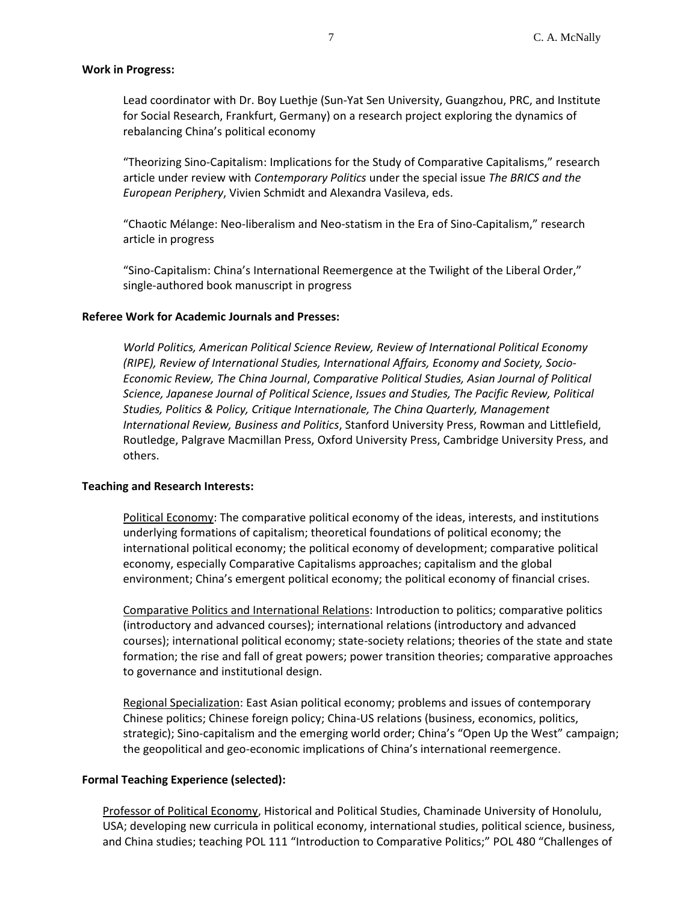### **Work in Progress:**

Lead coordinator with Dr. Boy Luethje (Sun-Yat Sen University, Guangzhou, PRC, and Institute for Social Research, Frankfurt, Germany) on a research project exploring the dynamics of rebalancing China's political economy

"Theorizing Sino-Capitalism: Implications for the Study of Comparative Capitalisms," research article under review with *Contemporary Politics* under the special issue *The BRICS and the European Periphery*, Vivien Schmidt and Alexandra Vasileva, eds.

"Chaotic Mélange: Neo-liberalism and Neo-statism in the Era of Sino-Capitalism," research article in progress

"Sino-Capitalism: China's International Reemergence at the Twilight of the Liberal Order," single-authored book manuscript in progress

# **Referee Work for Academic Journals and Presses:**

*World Politics, American Political Science Review, Review of International Political Economy (RIPE), Review of International Studies, International Affairs, Economy and Society, Socio-Economic Review, The China Journal*, *Comparative Political Studies, Asian Journal of Political Science, Japanese Journal of Political Science*, *Issues and Studies, The Pacific Review, Political Studies, Politics & Policy, Critique Internationale, The China Quarterly, Management International Review, Business and Politics*, Stanford University Press, Rowman and Littlefield, Routledge, Palgrave Macmillan Press, Oxford University Press, Cambridge University Press, and others.

### **Teaching and Research Interests:**

Political Economy: The comparative political economy of the ideas, interests, and institutions underlying formations of capitalism; theoretical foundations of political economy; the international political economy; the political economy of development; comparative political economy, especially Comparative Capitalisms approaches; capitalism and the global environment; China's emergent political economy; the political economy of financial crises.

Comparative Politics and International Relations: Introduction to politics; comparative politics (introductory and advanced courses); international relations (introductory and advanced courses); international political economy; state-society relations; theories of the state and state formation; the rise and fall of great powers; power transition theories; comparative approaches to governance and institutional design.

Regional Specialization: East Asian political economy; problems and issues of contemporary Chinese politics; Chinese foreign policy; China-US relations (business, economics, politics, strategic); Sino-capitalism and the emerging world order; China's "Open Up the West" campaign; the geopolitical and geo-economic implications of China's international reemergence.

# **Formal Teaching Experience (selected):**

Professor of Political Economy, Historical and Political Studies, Chaminade University of Honolulu, USA; developing new curricula in political economy, international studies, political science, business, and China studies; teaching POL 111 "Introduction to Comparative Politics;" POL 480 "Challenges of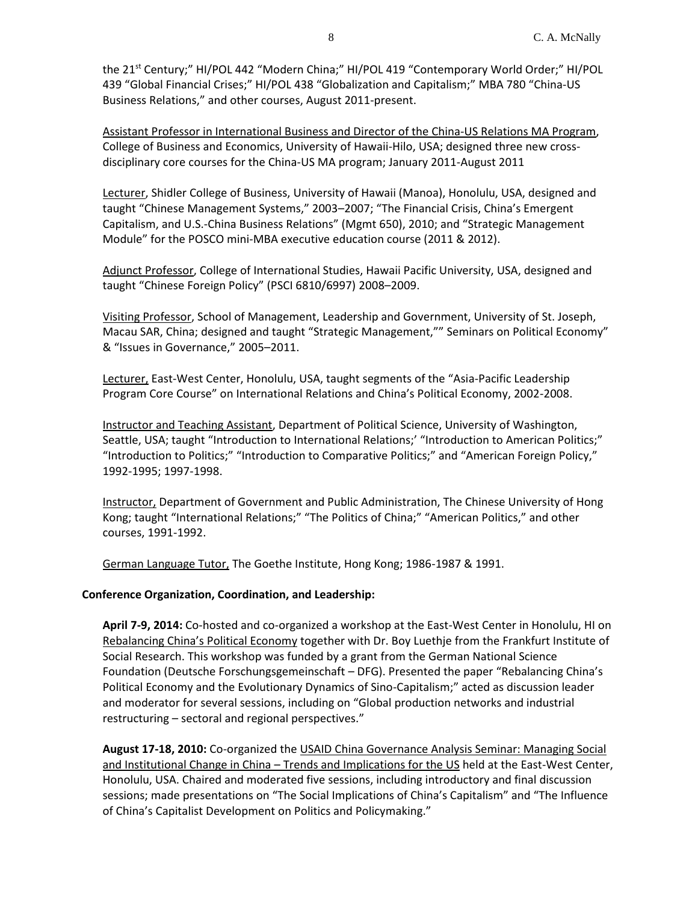the 21<sup>st</sup> Century;" HI/POL 442 "Modern China;" HI/POL 419 "Contemporary World Order;" HI/POL 439 "Global Financial Crises;" HI/POL 438 "Globalization and Capitalism;" MBA 780 "China-US Business Relations," and other courses, August 2011-present.

Assistant Professor in International Business and Director of the China-US Relations MA Program, College of Business and Economics, University of Hawaii-Hilo, USA; designed three new crossdisciplinary core courses for the China-US MA program; January 2011-August 2011

Lecturer, Shidler College of Business, University of Hawaii (Manoa), Honolulu, USA, designed and taught "Chinese Management Systems," 2003–2007; "The Financial Crisis, China's Emergent Capitalism, and U.S.-China Business Relations" (Mgmt 650), 2010; and "Strategic Management Module" for the POSCO mini-MBA executive education course (2011 & 2012).

Adjunct Professor, College of International Studies, Hawaii Pacific University, USA, designed and taught "Chinese Foreign Policy" (PSCI 6810/6997) 2008–2009.

Visiting Professor, School of Management, Leadership and Government, University of St. Joseph, Macau SAR, China; designed and taught "Strategic Management,"" Seminars on Political Economy" & "Issues in Governance," 2005–2011.

Lecturer, East-West Center, Honolulu, USA, taught segments of the "Asia-Pacific Leadership Program Core Course" on International Relations and China's Political Economy, 2002-2008.

Instructor and Teaching Assistant, Department of Political Science, University of Washington, Seattle, USA; taught "Introduction to International Relations;' "Introduction to American Politics;" "Introduction to Politics;" "Introduction to Comparative Politics;" and "American Foreign Policy," 1992-1995; 1997-1998.

Instructor, Department of Government and Public Administration, The Chinese University of Hong Kong; taught "International Relations;" "The Politics of China;" "American Politics," and other courses, 1991-1992.

German Language Tutor, The Goethe Institute, Hong Kong; 1986-1987 & 1991.

# **Conference Organization, Coordination, and Leadership:**

**April 7-9, 2014:** Co-hosted and co-organized a workshop at the East-West Center in Honolulu, HI on Rebalancing China's Political Economy together with Dr. Boy Luethje from the Frankfurt Institute of Social Research. This workshop was funded by a grant from the German National Science Foundation (Deutsche Forschungsgemeinschaft – DFG). Presented the paper "Rebalancing China's Political Economy and the Evolutionary Dynamics of Sino-Capitalism;" acted as discussion leader and moderator for several sessions, including on "Global production networks and industrial restructuring – sectoral and regional perspectives."

**August 17-18, 2010:** Co-organized the USAID China Governance Analysis Seminar: Managing Social and Institutional Change in China – Trends and Implications for the US held at the East-West Center, Honolulu, USA. Chaired and moderated five sessions, including introductory and final discussion sessions; made presentations on "The Social Implications of China's Capitalism" and "The Influence of China's Capitalist Development on Politics and Policymaking."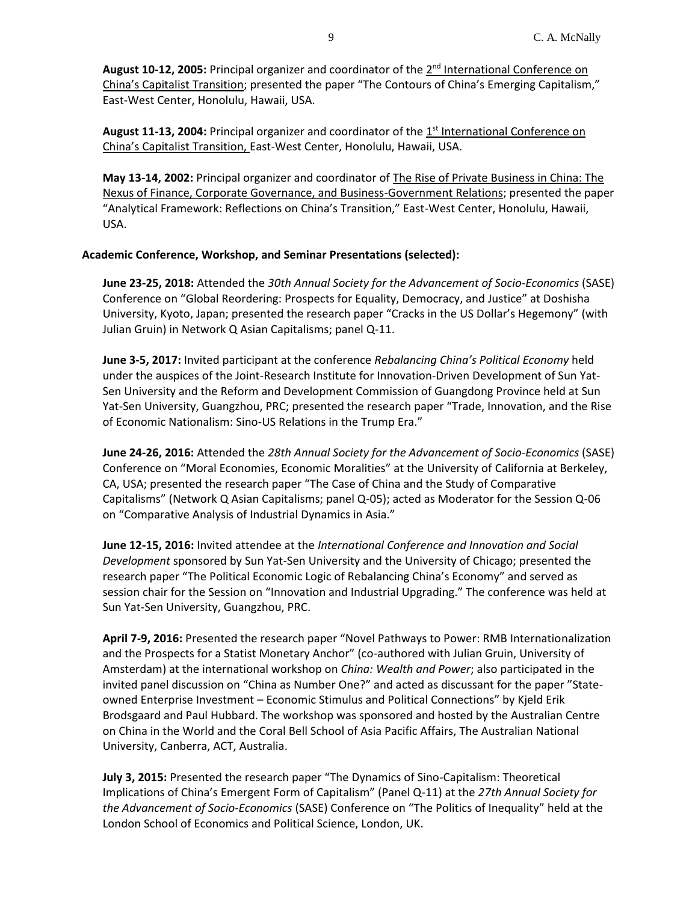August 10-12, 2005: Principal organizer and coordinator of the 2<sup>nd</sup> International Conference on China's Capitalist Transition; presented the paper "The Contours of China's Emerging Capitalism," East-West Center, Honolulu, Hawaii, USA.

August 11-13, 2004: Principal organizer and coordinator of the 1<sup>st</sup> International Conference on China's Capitalist Transition, East-West Center, Honolulu, Hawaii, USA.

**May 13-14, 2002:** Principal organizer and coordinator of The Rise of Private Business in China: The Nexus of Finance, Corporate Governance, and Business-Government Relations; presented the paper "Analytical Framework: Reflections on China's Transition," East-West Center, Honolulu, Hawaii, USA.

# **Academic Conference, Workshop, and Seminar Presentations (selected):**

**June 23-25, 2018:** Attended the *30th Annual Society for the Advancement of Socio-Economics* (SASE) Conference on "Global Reordering: Prospects for Equality, Democracy, and Justice" at Doshisha University, Kyoto, Japan; presented the research paper "Cracks in the US Dollar's Hegemony" (with Julian Gruin) in Network Q Asian Capitalisms; panel Q-11.

**June 3-5, 2017:** Invited participant at the conference *Rebalancing China's Political Economy* held under the auspices of the Joint-Research Institute for Innovation-Driven Development of Sun Yat-Sen University and the Reform and Development Commission of Guangdong Province held at Sun Yat-Sen University, Guangzhou, PRC; presented the research paper "Trade, Innovation, and the Rise of Economic Nationalism: Sino-US Relations in the Trump Era."

**June 24-26, 2016:** Attended the *28th Annual Society for the Advancement of Socio-Economics* (SASE) Conference on "Moral Economies, Economic Moralities" at the University of California at Berkeley, CA, USA; presented the research paper "The Case of China and the Study of Comparative Capitalisms" (Network Q Asian Capitalisms; panel Q-05); acted as Moderator for the Session Q-06 on "Comparative Analysis of Industrial Dynamics in Asia."

**June 12-15, 2016:** Invited attendee at the *International Conference and Innovation and Social Development* sponsored by Sun Yat-Sen University and the University of Chicago; presented the research paper "The Political Economic Logic of Rebalancing China's Economy" and served as session chair for the Session on "Innovation and Industrial Upgrading." The conference was held at Sun Yat-Sen University, Guangzhou, PRC.

**April 7-9, 2016:** Presented the research paper "Novel Pathways to Power: RMB Internationalization and the Prospects for a Statist Monetary Anchor" (co-authored with Julian Gruin, University of Amsterdam) at the international workshop on *China: Wealth and Power*; also participated in the invited panel discussion on "China as Number One?" and acted as discussant for the paper "Stateowned Enterprise Investment – Economic Stimulus and Political Connections" by Kjeld Erik Brodsgaard and Paul Hubbard. The workshop was sponsored and hosted by the Australian Centre on China in the World and the Coral Bell School of Asia Pacific Affairs, The Australian National University, Canberra, ACT, Australia.

**July 3, 2015:** Presented the research paper "The Dynamics of Sino-Capitalism: Theoretical Implications of China's Emergent Form of Capitalism" (Panel Q-11) at the *27th Annual Society for the Advancement of Socio-Economics* (SASE) Conference on "The Politics of Inequality" held at the London School of Economics and Political Science, London, UK.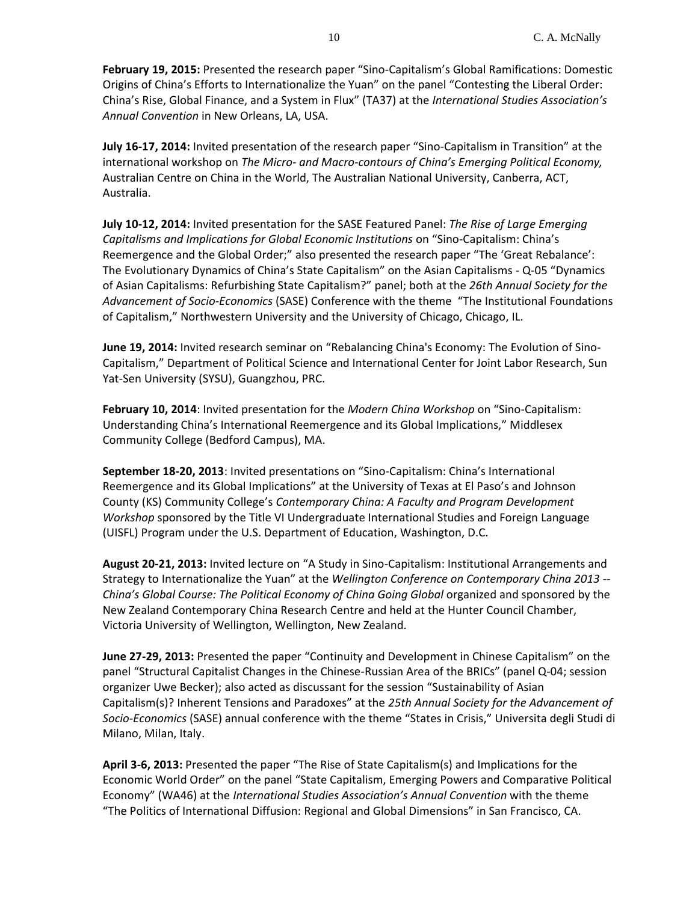**February 19, 2015:** Presented the research paper "Sino-Capitalism's Global Ramifications: Domestic Origins of China's Efforts to Internationalize the Yuan" on the panel "Contesting the Liberal Order: China's Rise, Global Finance, and a System in Flux" (TA37) at the *International Studies Association's Annual Convention* in New Orleans, LA, USA.

**July 16-17, 2014:** Invited presentation of the research paper "Sino-Capitalism in Transition" at the international workshop on *The Micro- and Macro-contours of China's Emerging Political Economy,*  Australian Centre on China in the World, The Australian National University, Canberra, ACT, Australia.

**July 10-12, 2014:** Invited presentation for the SASE Featured Panel: *The Rise of Large Emerging Capitalisms and Implications for Global Economic Institutions* on "Sino-Capitalism: China's Reemergence and the Global Order;" also presented the research paper "The 'Great Rebalance': The Evolutionary Dynamics of China's State Capitalism" on the Asian Capitalisms - Q-05 "Dynamics of Asian Capitalisms: Refurbishing State Capitalism?" panel; both at the *26th Annual Society for the Advancement of Socio-Economics* (SASE) Conference with the theme "The Institutional Foundations of Capitalism," Northwestern University and the University of Chicago, Chicago, IL.

**June 19, 2014:** Invited research seminar on "Rebalancing China's Economy: The Evolution of Sino-Capitalism," Department of Political Science and International Center for Joint Labor Research, Sun Yat-Sen University (SYSU), Guangzhou, PRC.

**February 10, 2014**: Invited presentation for the *Modern China Workshop* on "Sino-Capitalism: Understanding China's International Reemergence and its Global Implications," Middlesex Community College (Bedford Campus), MA.

**September 18-20, 2013**: Invited presentations on "Sino-Capitalism: China's International Reemergence and its Global Implications" at the University of Texas at El Paso's and Johnson County (KS) Community College's *Contemporary China: A Faculty and Program Development Workshop* sponsored by the Title VI Undergraduate International Studies and Foreign Language (UISFL) Program under the U.S. Department of Education, Washington, D.C.

**August 20-21, 2013:** Invited lecture on "A Study in Sino-Capitalism: Institutional Arrangements and Strategy to Internationalize the Yuan" at the *Wellington Conference on Contemporary China 2013 -- China's Global Course: The Political Economy of China Going Global* organized and sponsored by the New Zealand Contemporary China Research Centre and held at the Hunter Council Chamber, Victoria University of Wellington, Wellington, New Zealand.

**June 27-29, 2013:** Presented the paper "Continuity and Development in Chinese Capitalism" on the panel "Structural Capitalist Changes in the Chinese-Russian Area of the BRICs" (panel Q-04; session organizer Uwe Becker); also acted as discussant for the session "Sustainability of Asian Capitalism(s)? Inherent Tensions and Paradoxes" at the *25th Annual Society for the Advancement of Socio-Economics* (SASE) annual conference with the theme "States in Crisis," Universita degli Studi di Milano, Milan, Italy.

**April 3-6, 2013:** Presented the paper "The Rise of State Capitalism(s) and Implications for the Economic World Order" on the panel "State Capitalism, Emerging Powers and Comparative Political Economy" (WA46) at the *International Studies Association's Annual Convention* with the theme "The Politics of International Diffusion: Regional and Global Dimensions" in San Francisco, CA.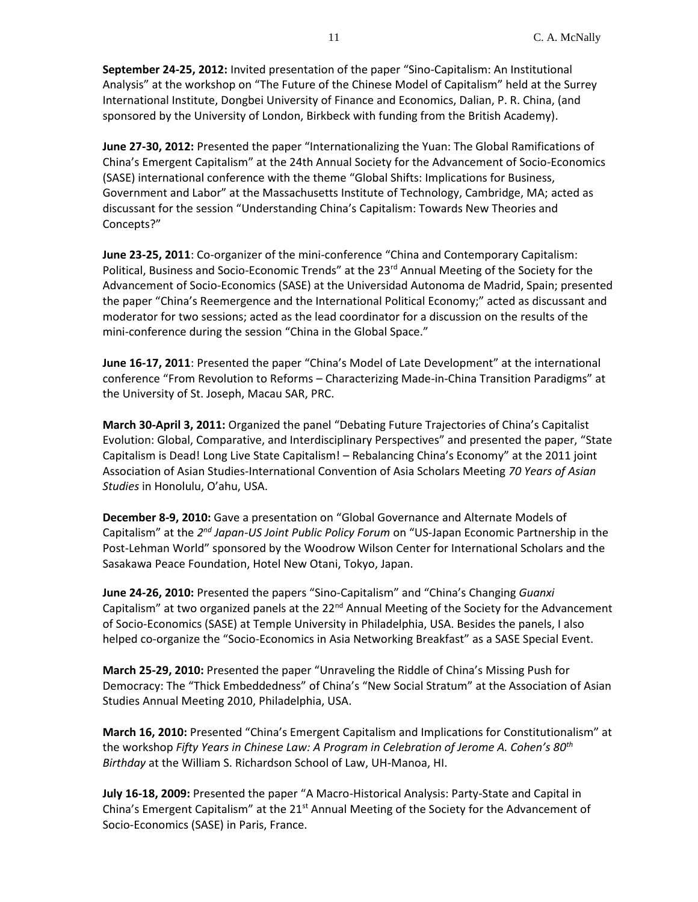**September 24-25, 2012:** Invited presentation of the paper "Sino-Capitalism: An Institutional Analysis" at the workshop on "The Future of the Chinese Model of Capitalism" held at the Surrey International Institute, Dongbei University of Finance and Economics, Dalian, P. R. China, (and sponsored by the University of London, Birkbeck with funding from the British Academy).

**June 27-30, 2012:** Presented the paper "Internationalizing the Yuan: The Global Ramifications of China's Emergent Capitalism" at the 24th Annual Society for the Advancement of Socio-Economics (SASE) international conference with the theme "Global Shifts: Implications for Business, Government and Labor" at the Massachusetts Institute of Technology, Cambridge, MA; acted as discussant for the session "Understanding China's Capitalism: Towards New Theories and Concepts?"

**June 23-25, 2011**: Co-organizer of the mini-conference "China and Contemporary Capitalism: Political, Business and Socio-Economic Trends" at the 23<sup>rd</sup> Annual Meeting of the Society for the Advancement of Socio-Economics (SASE) at the Universidad Autonoma de Madrid, Spain; presented the paper "China's Reemergence and the International Political Economy;" acted as discussant and moderator for two sessions; acted as the lead coordinator for a discussion on the results of the mini-conference during the session "China in the Global Space."

**June 16-17, 2011**: Presented the paper "China's Model of Late Development" at the international conference "From Revolution to Reforms – Characterizing Made-in-China Transition Paradigms" at the University of St. Joseph, Macau SAR, PRC.

**March 30-April 3, 2011:** Organized the panel "Debating Future Trajectories of China's Capitalist Evolution: Global, Comparative, and Interdisciplinary Perspectives" and presented the paper, "State Capitalism is Dead! Long Live State Capitalism! – Rebalancing China's Economy" at the 2011 joint Association of Asian Studies-International Convention of Asia Scholars Meeting *70 Years of Asian Studies* in Honolulu, O'ahu, USA.

**December 8-9, 2010:** Gave a presentation on "Global Governance and Alternate Models of Capitalism" at the 2<sup>nd</sup> Japan-US Joint Public Policy Forum on "US-Japan Economic Partnership in the Post-Lehman World" sponsored by the Woodrow Wilson Center for International Scholars and the Sasakawa Peace Foundation, Hotel New Otani, Tokyo, Japan.

**June 24-26, 2010:** Presented the papers "Sino-Capitalism" and "China's Changing *Guanxi* Capitalism" at two organized panels at the  $22<sup>nd</sup>$  Annual Meeting of the Society for the Advancement of Socio-Economics (SASE) at Temple University in Philadelphia, USA. Besides the panels, I also helped co-organize the "Socio-Economics in Asia Networking Breakfast" as a SASE Special Event.

**March 25-29, 2010:** Presented the paper "Unraveling the Riddle of China's Missing Push for Democracy: The "Thick Embeddedness" of China's "New Social Stratum" at the Association of Asian Studies Annual Meeting 2010, Philadelphia, USA.

**March 16, 2010:** Presented "China's Emergent Capitalism and Implications for Constitutionalism" at the workshop *Fifty Years in Chinese Law: A Program in Celebration of Jerome A. Cohen's 80th Birthday* at the William S. Richardson School of Law, UH-Manoa, HI.

**July 16-18, 2009:** Presented the paper "A Macro-Historical Analysis: Party-State and Capital in China's Emergent Capitalism" at the  $21<sup>st</sup>$  Annual Meeting of the Society for the Advancement of Socio-Economics (SASE) in Paris, France.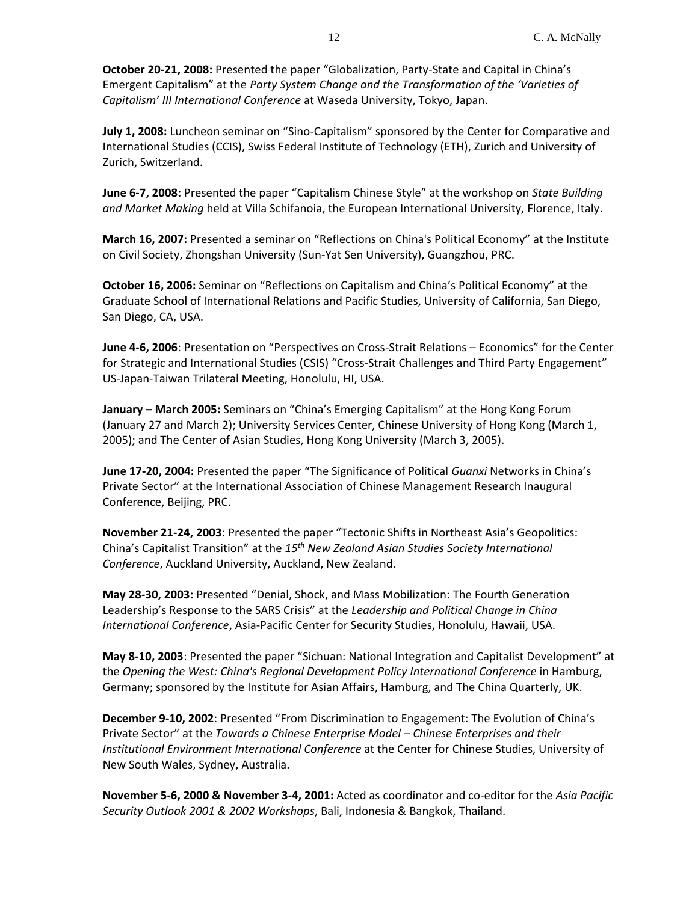**October 20-21, 2008:** Presented the paper "Globalization, Party-State and Capital in China's Emergent Capitalism" at the *Party System Change and the Transformation of the 'Varieties of Capitalism' III International Conference* at Waseda University, Tokyo, Japan.

**July 1, 2008:** Luncheon seminar on "Sino-Capitalism" sponsored by the Center for Comparative and International Studies (CCIS), Swiss Federal Institute of Technology (ETH), Zurich and University of Zurich, Switzerland.

**June 6-7, 2008:** Presented the paper "Capitalism Chinese Style" at the workshop on *State Building and Market Making* held at Villa Schifanoia, the European International University, Florence, Italy.

**March 16, 2007:** Presented a seminar on "Reflections on China's Political Economy" at the Institute on Civil Society, Zhongshan University (Sun-Yat Sen University), Guangzhou, PRC.

**October 16, 2006:** Seminar on "Reflections on Capitalism and China's Political Economy" at the Graduate School of International Relations and Pacific Studies, University of California, San Diego, San Diego, CA, USA.

**June 4-6, 2006**: Presentation on "Perspectives on Cross-Strait Relations – Economics" for the Center for Strategic and International Studies (CSIS) "Cross-Strait Challenges and Third Party Engagement" US-Japan-Taiwan Trilateral Meeting, Honolulu, HI, USA.

**January – March 2005:** Seminars on "China's Emerging Capitalism" at the Hong Kong Forum (January 27 and March 2); University Services Center, Chinese University of Hong Kong (March 1, 2005); and The Center of Asian Studies, Hong Kong University (March 3, 2005).

**June 17-20, 2004:** Presented the paper "The Significance of Political *Guanxi* Networks in China's Private Sector" at the International Association of Chinese Management Research Inaugural Conference, Beijing, PRC.

**November 21-24, 2003**: Presented the paper "Tectonic Shifts in Northeast Asia's Geopolitics: China's Capitalist Transition" at the *15th New Zealand Asian Studies Society International Conference*, Auckland University, Auckland, New Zealand.

**May 28-30, 2003:** Presented "Denial, Shock, and Mass Mobilization: The Fourth Generation Leadership's Response to the SARS Crisis" at the *Leadership and Political Change in China International Conference*, Asia-Pacific Center for Security Studies, Honolulu, Hawaii, USA.

**May 8-10, 2003**: Presented the paper "Sichuan: National Integration and Capitalist Development" at the *Opening the West: China's Regional Development Policy International Conference* in Hamburg, Germany; sponsored by the Institute for Asian Affairs, Hamburg, and The China Quarterly, UK.

**December 9-10, 2002**: Presented "From Discrimination to Engagement: The Evolution of China's Private Sector" at the *Towards a Chinese Enterprise Model – Chinese Enterprises and their Institutional Environment International Conference* at the Center for Chinese Studies, University of New South Wales, Sydney, Australia.

**November 5-6, 2000 & November 3-4, 2001:** Acted as coordinator and co-editor for the *Asia Pacific Security Outlook 2001 & 2002 Workshops*, Bali, Indonesia & Bangkok, Thailand.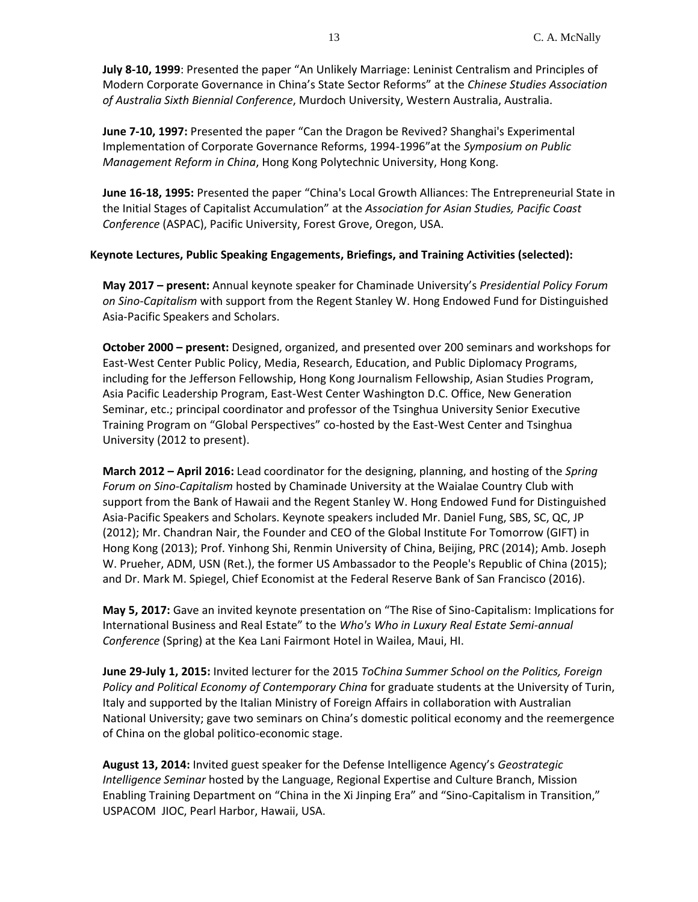**July 8-10, 1999**: Presented the paper "An Unlikely Marriage: Leninist Centralism and Principles of Modern Corporate Governance in China's State Sector Reforms" at the *Chinese Studies Association of Australia Sixth Biennial Conference*, Murdoch University, Western Australia, Australia.

**June 7-10, 1997:** Presented the paper "Can the Dragon be Revived? Shanghai's Experimental Implementation of Corporate Governance Reforms, 1994-1996"at the *Symposium on Public Management Reform in China*, Hong Kong Polytechnic University, Hong Kong.

**June 16-18, 1995:** Presented the paper "China's Local Growth Alliances: The Entrepreneurial State in the Initial Stages of Capitalist Accumulation" at the *Association for Asian Studies, Pacific Coast Conference* (ASPAC), Pacific University, Forest Grove, Oregon, USA.

# **Keynote Lectures, Public Speaking Engagements, Briefings, and Training Activities (selected):**

**May 2017 – present:** Annual keynote speaker for Chaminade University's *Presidential Policy Forum on Sino-Capitalism* with support from the Regent Stanley W. Hong Endowed Fund for Distinguished Asia-Pacific Speakers and Scholars.

**October 2000 – present:** Designed, organized, and presented over 200 seminars and workshops for East-West Center Public Policy, Media, Research, Education, and Public Diplomacy Programs, including for the Jefferson Fellowship, Hong Kong Journalism Fellowship, Asian Studies Program, Asia Pacific Leadership Program, East-West Center Washington D.C. Office, New Generation Seminar, etc.; principal coordinator and professor of the Tsinghua University Senior Executive Training Program on "Global Perspectives" co-hosted by the East-West Center and Tsinghua University (2012 to present).

**March 2012 – April 2016:** Lead coordinator for the designing, planning, and hosting of the *Spring Forum on Sino-Capitalism* hosted by Chaminade University at the Waialae Country Club with support from the Bank of Hawaii and the Regent Stanley W. Hong Endowed Fund for Distinguished Asia-Pacific Speakers and Scholars. Keynote speakers included Mr. Daniel Fung, SBS, SC, QC, JP (2012); Mr. Chandran Nair, the Founder and CEO of the Global Institute For Tomorrow (GIFT) in Hong Kong (2013); Prof. Yinhong Shi, Renmin University of China, Beijing, PRC (2014); Amb. Joseph W. Prueher, ADM, USN (Ret.), the former US Ambassador to the People's Republic of China (2015); and Dr. Mark M. Spiegel, Chief Economist at the Federal Reserve Bank of San Francisco (2016).

**May 5, 2017:** Gave an invited keynote presentation on "The Rise of Sino-Capitalism: Implications for International Business and Real Estate" to the *Who's Who in Luxury Real Estate Semi-annual Conference* (Spring) at the Kea Lani Fairmont Hotel in Wailea, Maui, HI.

**June 29-July 1, 2015:** Invited lecturer for the 2015 *ToChina Summer School on the Politics, Foreign Policy and Political Economy of Contemporary China* for graduate students at the University of Turin, Italy and supported by the Italian Ministry of Foreign Affairs in collaboration with Australian National University; gave two seminars on China's domestic political economy and the reemergence of China on the global politico-economic stage.

**August 13, 2014:** Invited guest speaker for the Defense Intelligence Agency's *Geostrategic Intelligence Seminar* hosted by the Language, Regional Expertise and Culture Branch, Mission Enabling Training Department on "China in the Xi Jinping Era" and "Sino-Capitalism in Transition," USPACOM JIOC, Pearl Harbor, Hawaii, USA.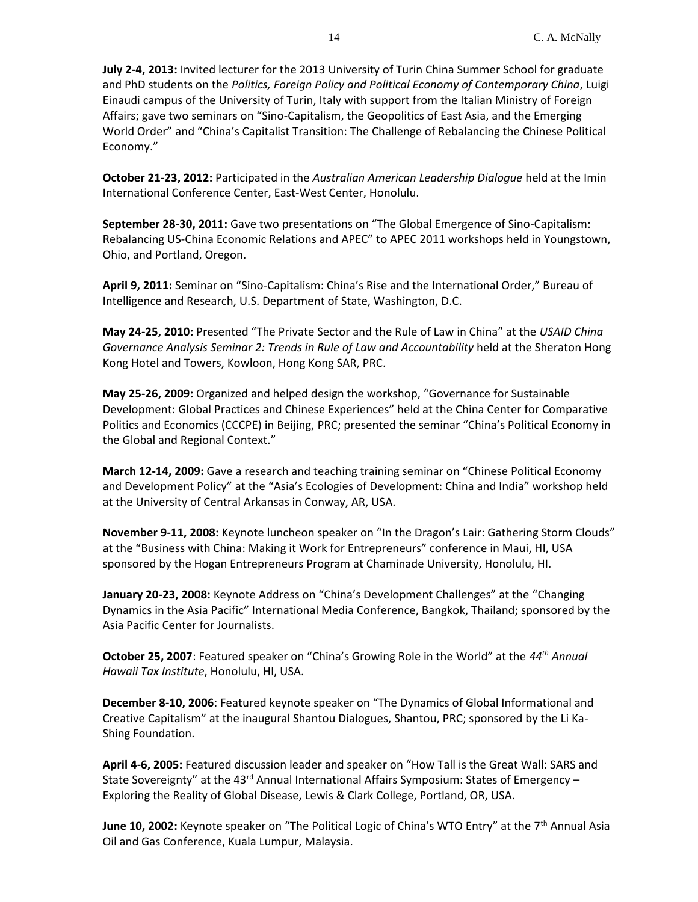**July 2-4, 2013:** Invited lecturer for the 2013 University of Turin China Summer School for graduate and PhD students on the *Politics, Foreign Policy and Political Economy of Contemporary China*, Luigi Einaudi campus of the University of Turin, Italy with support from the Italian Ministry of Foreign Affairs; gave two seminars on "Sino-Capitalism, the Geopolitics of East Asia, and the Emerging World Order" and "China's Capitalist Transition: The Challenge of Rebalancing the Chinese Political Economy."

**October 21-23, 2012:** Participated in the *Australian American Leadership Dialogue* held at the Imin International Conference Center, East-West Center, Honolulu.

**September 28-30, 2011:** Gave two presentations on "The Global Emergence of Sino-Capitalism: Rebalancing US-China Economic Relations and APEC" to APEC 2011 workshops held in Youngstown, Ohio, and Portland, Oregon.

**April 9, 2011:** Seminar on "Sino-Capitalism: China's Rise and the International Order," Bureau of Intelligence and Research, U.S. Department of State, Washington, D.C.

**May 24-25, 2010:** Presented "The Private Sector and the Rule of Law in China" at the *USAID China Governance Analysis Seminar 2: Trends in Rule of Law and Accountability* held at the Sheraton Hong Kong Hotel and Towers, Kowloon, Hong Kong SAR, PRC.

**May 25-26, 2009:** Organized and helped design the workshop, "Governance for Sustainable Development: Global Practices and Chinese Experiences" held at the China Center for Comparative Politics and Economics (CCCPE) in Beijing, PRC; presented the seminar "China's Political Economy in the Global and Regional Context."

**March 12-14, 2009:** Gave a research and teaching training seminar on "Chinese Political Economy and Development Policy" at the "Asia's Ecologies of Development: China and India" workshop held at the University of Central Arkansas in Conway, AR, USA.

**November 9-11, 2008:** Keynote luncheon speaker on "In the Dragon's Lair: Gathering Storm Clouds" at the "Business with China: Making it Work for Entrepreneurs" conference in Maui, HI, USA sponsored by the Hogan Entrepreneurs Program at Chaminade University, Honolulu, HI.

**January 20-23, 2008:** Keynote Address on "China's Development Challenges" at the "Changing Dynamics in the Asia Pacific" International Media Conference, Bangkok, Thailand; sponsored by the Asia Pacific Center for Journalists.

**October 25, 2007**: Featured speaker on "China's Growing Role in the World" at the *44th Annual Hawaii Tax Institute*, Honolulu, HI, USA.

**December 8-10, 2006**: Featured keynote speaker on "The Dynamics of Global Informational and Creative Capitalism" at the inaugural Shantou Dialogues, Shantou, PRC; sponsored by the Li Ka-Shing Foundation.

**April 4-6, 2005:** Featured discussion leader and speaker on "How Tall is the Great Wall: SARS and State Sovereignty" at the 43<sup>rd</sup> Annual International Affairs Symposium: States of Emergency – Exploring the Reality of Global Disease, Lewis & Clark College, Portland, OR, USA.

**June 10, 2002:** Keynote speaker on "The Political Logic of China's WTO Entry" at the 7<sup>th</sup> Annual Asia Oil and Gas Conference, Kuala Lumpur, Malaysia.